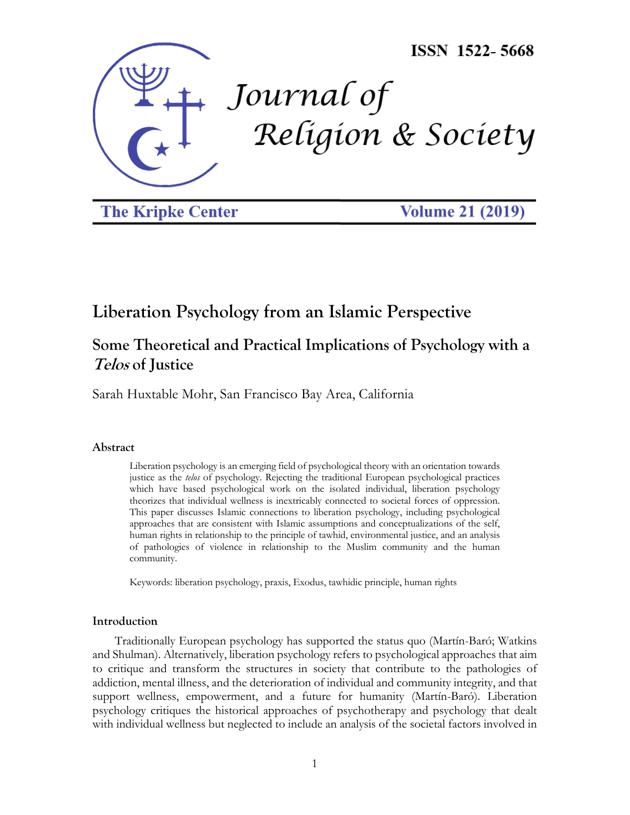

**The Kripke Center** 

**Volume 21 (2019)** 

# **Liberation Psychology from an Islamic Perspective**

# **Some Theoretical and Practical Implications of Psychology with a Telos of Justice**

Sarah Huxtable Mohr, San Francisco Bay Area, California

## **Abstract**

Liberation psychology is an emerging field of psychological theory with an orientation towards justice as the *telos* of psychology. Rejecting the traditional European psychological practices which have based psychological work on the isolated individual, liberation psychology theorizes that individual wellness is inextricably connected to societal forces of oppression. This paper discusses Islamic connections to liberation psychology, including psychological approaches that are consistent with Islamic assumptions and conceptualizations of the self, human rights in relationship to the principle of tawhid, environmental justice, and an analysis of pathologies of violence in relationship to the Muslim community and the human community.

Keywords: liberation psychology, praxis, Exodus, tawhidic principle, human rights

# **Introduction**

Traditionally European psychology has supported the status quo (Martín-Baró; Watkins and Shulman). Alternatively, liberation psychology refers to psychological approaches that aim to critique and transform the structures in society that contribute to the pathologies of addiction, mental illness, and the deterioration of individual and community integrity, and that support wellness, empowerment, and a future for humanity (Martín-Baró). Liberation psychology critiques the historical approaches of psychotherapy and psychology that dealt with individual wellness but neglected to include an analysis of the societal factors involved in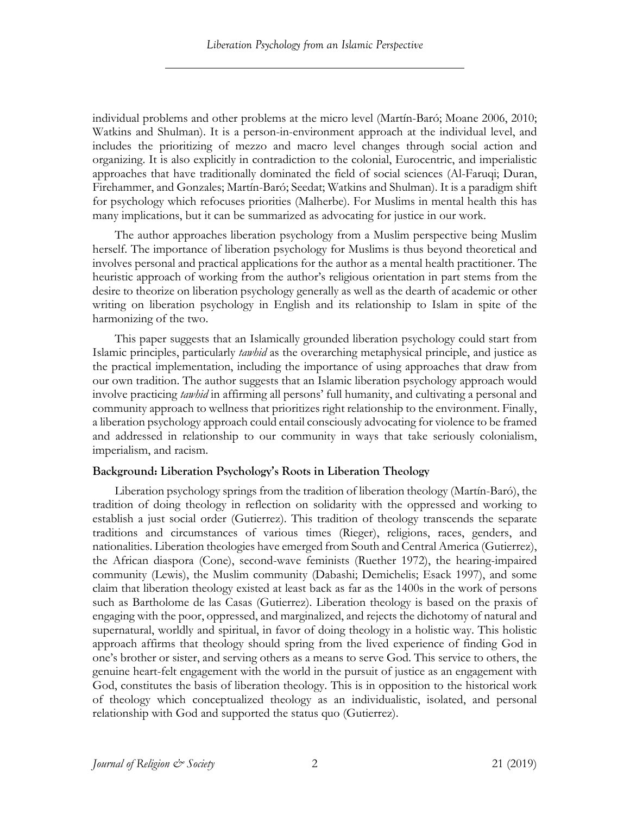individual problems and other problems at the micro level (Martín-Baró; Moane 2006, 2010; Watkins and Shulman). It is a person-in-environment approach at the individual level, and includes the prioritizing of mezzo and macro level changes through social action and organizing. It is also explicitly in contradiction to the colonial, Eurocentric, and imperialistic approaches that have traditionally dominated the field of social sciences (Al-Faruqi; Duran, Firehammer, and Gonzales; Martín-Baró; Seedat; Watkins and Shulman). It is a paradigm shift for psychology which refocuses priorities (Malherbe). For Muslims in mental health this has many implications, but it can be summarized as advocating for justice in our work.

The author approaches liberation psychology from a Muslim perspective being Muslim herself. The importance of liberation psychology for Muslims is thus beyond theoretical and involves personal and practical applications for the author as a mental health practitioner. The heuristic approach of working from the author's religious orientation in part stems from the desire to theorize on liberation psychology generally as well as the dearth of academic or other writing on liberation psychology in English and its relationship to Islam in spite of the harmonizing of the two.

This paper suggests that an Islamically grounded liberation psychology could start from Islamic principles, particularly *tawhid* as the overarching metaphysical principle, and justice as the practical implementation, including the importance of using approaches that draw from our own tradition. The author suggests that an Islamic liberation psychology approach would involve practicing *tawhid* in affirming all persons' full humanity, and cultivating a personal and community approach to wellness that prioritizes right relationship to the environment. Finally, a liberation psychology approach could entail consciously advocating for violence to be framed and addressed in relationship to our community in ways that take seriously colonialism, imperialism, and racism.

# **Background: Liberation Psychology's Roots in Liberation Theology**

Liberation psychology springs from the tradition of liberation theology (Martín-Baró), the tradition of doing theology in reflection on solidarity with the oppressed and working to establish a just social order (Gutierrez). This tradition of theology transcends the separate traditions and circumstances of various times (Rieger), religions, races, genders, and nationalities. Liberation theologies have emerged from South and Central America (Gutierrez), the African diaspora (Cone), second-wave feminists (Ruether 1972), the hearing-impaired community (Lewis), the Muslim community (Dabashi; Demichelis; Esack 1997), and some claim that liberation theology existed at least back as far as the 1400s in the work of persons such as Bartholome de las Casas (Gutierrez). Liberation theology is based on the praxis of engaging with the poor, oppressed, and marginalized, and rejects the dichotomy of natural and supernatural, worldly and spiritual, in favor of doing theology in a holistic way. This holistic approach affirms that theology should spring from the lived experience of finding God in one's brother or sister, and serving others as a means to serve God. This service to others, the genuine heart-felt engagement with the world in the pursuit of justice as an engagement with God, constitutes the basis of liberation theology. This is in opposition to the historical work of theology which conceptualized theology as an individualistic, isolated, and personal relationship with God and supported the status quo (Gutierrez).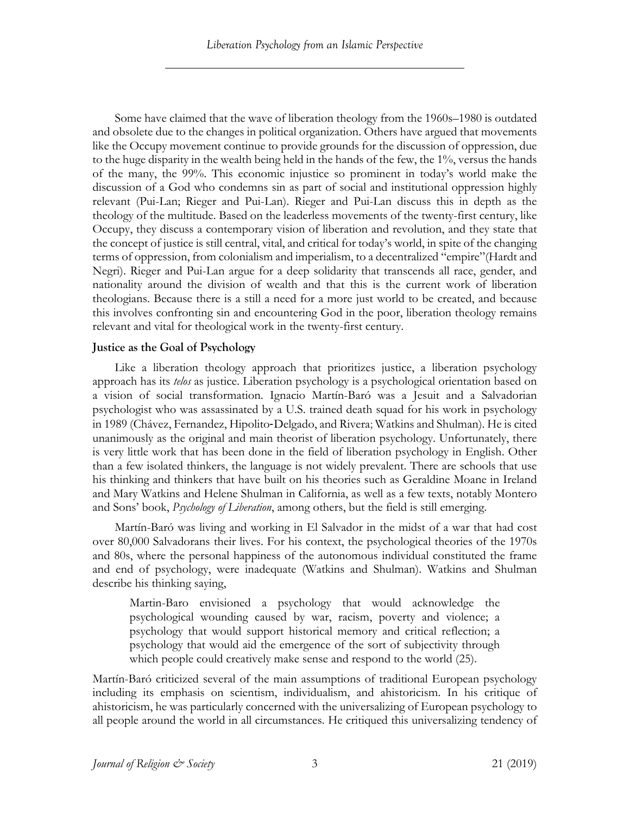Some have claimed that the wave of liberation theology from the 1960s–1980 is outdated and obsolete due to the changes in political organization. Others have argued that movements like the Occupy movement continue to provide grounds for the discussion of oppression, due to the huge disparity in the wealth being held in the hands of the few, the 1%, versus the hands of the many, the 99%. This economic injustice so prominent in today's world make the discussion of a God who condemns sin as part of social and institutional oppression highly relevant (Pui-Lan; Rieger and Pui-Lan). Rieger and Pui-Lan discuss this in depth as the theology of the multitude. Based on the leaderless movements of the twenty-first century, like Occupy, they discuss a contemporary vision of liberation and revolution, and they state that the concept of justice is still central, vital, and critical for today's world, in spite of the changing terms of oppression, from colonialism and imperialism, to a decentralized "empire"(Hardt and Negri). Rieger and Pui-Lan argue for a deep solidarity that transcends all race, gender, and nationality around the division of wealth and that this is the current work of liberation theologians. Because there is a still a need for a more just world to be created, and because this involves confronting sin and encountering God in the poor, liberation theology remains relevant and vital for theological work in the twenty-first century.

## **Justice as the Goal of Psychology**

Like a liberation theology approach that prioritizes justice, a liberation psychology approach has its *telos* as justice. Liberation psychology is a psychological orientation based on a vision of social transformation. Ignacio Martín-Baró was a Jesuit and a Salvadorian psychologist who was assassinated by a U.S. trained death squad for his work in psychology in 1989 (Chávez, Fernandez, Hipolito-Delgado, and Rivera; Watkins and Shulman). He is cited unanimously as the original and main theorist of liberation psychology. Unfortunately, there is very little work that has been done in the field of liberation psychology in English. Other than a few isolated thinkers, the language is not widely prevalent. There are schools that use his thinking and thinkers that have built on his theories such as Geraldine Moane in Ireland and Mary Watkins and Helene Shulman in California, as well as a few texts, notably Montero and Sons' book, *Psychology of Liberation*, among others, but the field is still emerging.

Martín-Baró was living and working in El Salvador in the midst of a war that had cost over 80,000 Salvadorans their lives. For his context, the psychological theories of the 1970s and 80s, where the personal happiness of the autonomous individual constituted the frame and end of psychology, were inadequate (Watkins and Shulman). Watkins and Shulman describe his thinking saying,

Martin-Baro envisioned a psychology that would acknowledge the psychological wounding caused by war, racism, poverty and violence; a psychology that would support historical memory and critical reflection; a psychology that would aid the emergence of the sort of subjectivity through which people could creatively make sense and respond to the world (25).

Martín-Baró criticized several of the main assumptions of traditional European psychology including its emphasis on scientism, individualism, and ahistoricism. In his critique of ahistoricism, he was particularly concerned with the universalizing of European psychology to all people around the world in all circumstances. He critiqued this universalizing tendency of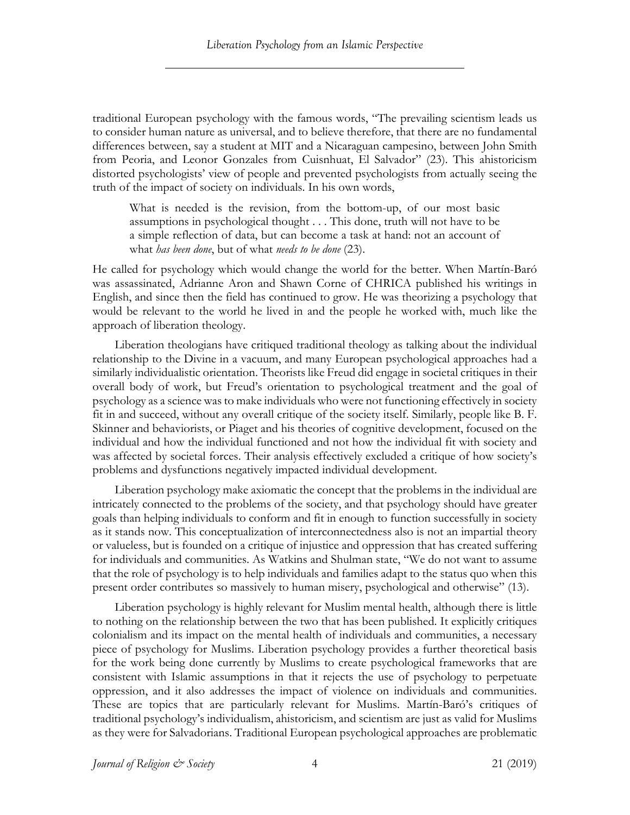traditional European psychology with the famous words, "The prevailing scientism leads us to consider human nature as universal, and to believe therefore, that there are no fundamental differences between, say a student at MIT and a Nicaraguan campesino, between John Smith from Peoria, and Leonor Gonzales from Cuisnhuat, El Salvador" (23). This ahistoricism distorted psychologists' view of people and prevented psychologists from actually seeing the truth of the impact of society on individuals. In his own words,

What is needed is the revision, from the bottom-up, of our most basic assumptions in psychological thought . . . This done, truth will not have to be a simple reflection of data, but can become a task at hand: not an account of what *has been done*, but of what *needs to be done* (23).

He called for psychology which would change the world for the better. When Martín-Baró was assassinated, Adrianne Aron and Shawn Corne of CHRICA published his writings in English, and since then the field has continued to grow. He was theorizing a psychology that would be relevant to the world he lived in and the people he worked with, much like the approach of liberation theology.

Liberation theologians have critiqued traditional theology as talking about the individual relationship to the Divine in a vacuum, and many European psychological approaches had a similarly individualistic orientation. Theorists like Freud did engage in societal critiques in their overall body of work, but Freud's orientation to psychological treatment and the goal of psychology as a science was to make individuals who were not functioning effectively in society fit in and succeed, without any overall critique of the society itself. Similarly, people like B. F. Skinner and behaviorists, or Piaget and his theories of cognitive development, focused on the individual and how the individual functioned and not how the individual fit with society and was affected by societal forces. Their analysis effectively excluded a critique of how society's problems and dysfunctions negatively impacted individual development.

Liberation psychology make axiomatic the concept that the problems in the individual are intricately connected to the problems of the society, and that psychology should have greater goals than helping individuals to conform and fit in enough to function successfully in society as it stands now. This conceptualization of interconnectedness also is not an impartial theory or valueless, but is founded on a critique of injustice and oppression that has created suffering for individuals and communities. As Watkins and Shulman state, "We do not want to assume that the role of psychology is to help individuals and families adapt to the status quo when this present order contributes so massively to human misery, psychological and otherwise" (13).

Liberation psychology is highly relevant for Muslim mental health, although there is little to nothing on the relationship between the two that has been published. It explicitly critiques colonialism and its impact on the mental health of individuals and communities, a necessary piece of psychology for Muslims. Liberation psychology provides a further theoretical basis for the work being done currently by Muslims to create psychological frameworks that are consistent with Islamic assumptions in that it rejects the use of psychology to perpetuate oppression, and it also addresses the impact of violence on individuals and communities. These are topics that are particularly relevant for Muslims. Martín-Baró's critiques of traditional psychology's individualism, ahistoricism, and scientism are just as valid for Muslims as they were for Salvadorians. Traditional European psychological approaches are problematic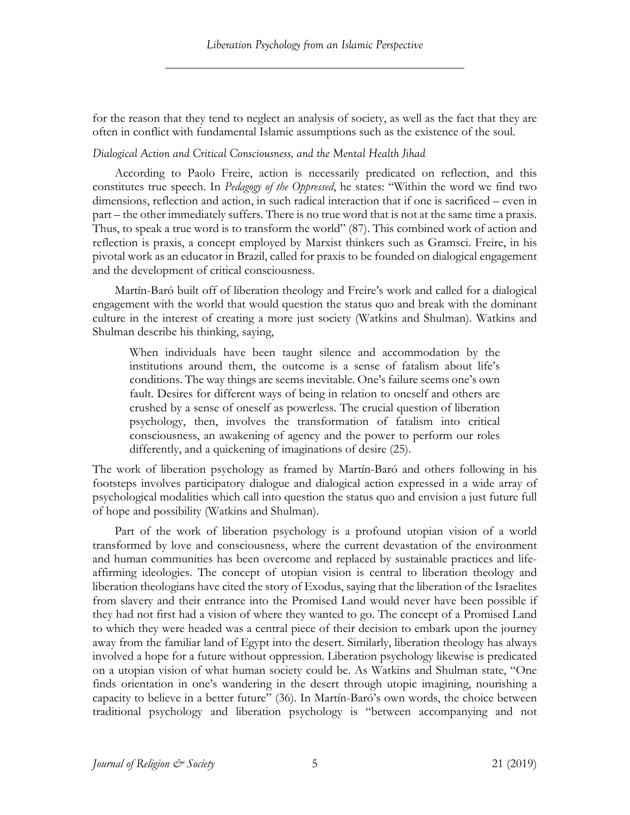for the reason that they tend to neglect an analysis of society, as well as the fact that they are often in conflict with fundamental Islamic assumptions such as the existence of the soul.

# *Dialogical Action and Critical Consciousness, and the Mental Health Jihad*

According to Paolo Freire, action is necessarily predicated on reflection, and this constitutes true speech. In *Pedagogy of the Oppressed*, he states: "Within the word we find two dimensions, reflection and action, in such radical interaction that if one is sacrificed – even in part – the other immediately suffers. There is no true word that is not at the same time a praxis. Thus, to speak a true word is to transform the world" (87). This combined work of action and reflection is praxis, a concept employed by Marxist thinkers such as Gramsci. Freire, in his pivotal work as an educator in Brazil, called for praxis to be founded on dialogical engagement and the development of critical consciousness.

Martín-Baró built off of liberation theology and Freire's work and called for a dialogical engagement with the world that would question the status quo and break with the dominant culture in the interest of creating a more just society (Watkins and Shulman). Watkins and Shulman describe his thinking, saying,

When individuals have been taught silence and accommodation by the institutions around them, the outcome is a sense of fatalism about life's conditions. The way things are seems inevitable. One's failure seems one's own fault. Desires for different ways of being in relation to oneself and others are crushed by a sense of oneself as powerless. The crucial question of liberation psychology, then, involves the transformation of fatalism into critical consciousness, an awakening of agency and the power to perform our roles differently, and a quickening of imaginations of desire (25).

The work of liberation psychology as framed by Martín-Baró and others following in his footsteps involves participatory dialogue and dialogical action expressed in a wide array of psychological modalities which call into question the status quo and envision a just future full of hope and possibility (Watkins and Shulman).

Part of the work of liberation psychology is a profound utopian vision of a world transformed by love and consciousness, where the current devastation of the environment and human communities has been overcome and replaced by sustainable practices and lifeaffirming ideologies. The concept of utopian vision is central to liberation theology and liberation theologians have cited the story of Exodus, saying that the liberation of the Israelites from slavery and their entrance into the Promised Land would never have been possible if they had not first had a vision of where they wanted to go. The concept of a Promised Land to which they were headed was a central piece of their decision to embark upon the journey away from the familiar land of Egypt into the desert. Similarly, liberation theology has always involved a hope for a future without oppression. Liberation psychology likewise is predicated on a utopian vision of what human society could be. As Watkins and Shulman state, "One finds orientation in one's wandering in the desert through utopic imagining, nourishing a capacity to believe in a better future" (36). In Martín-Baró's own words, the choice between traditional psychology and liberation psychology is "between accompanying and not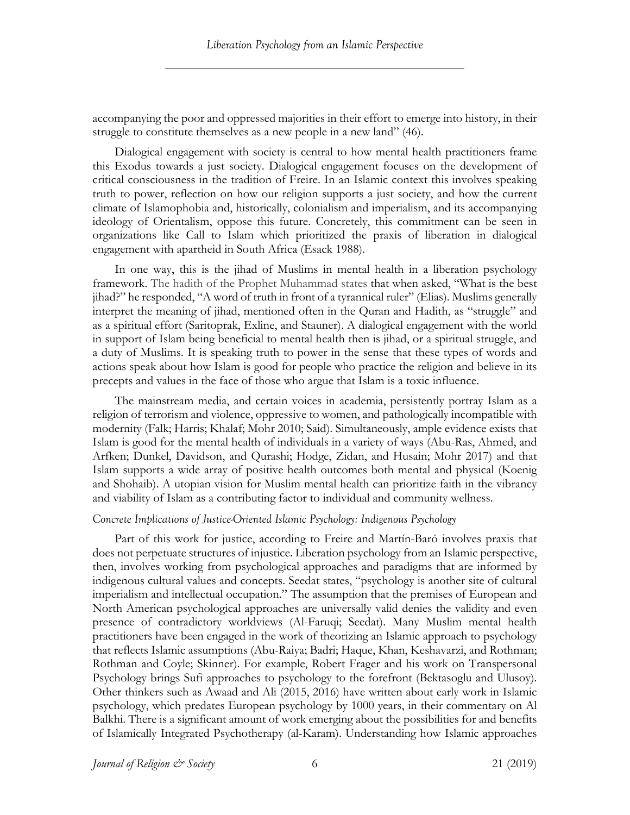accompanying the poor and oppressed majorities in their effort to emerge into history, in their struggle to constitute themselves as a new people in a new land" (46).

Dialogical engagement with society is central to how mental health practitioners frame this Exodus towards a just society. Dialogical engagement focuses on the development of critical consciousness in the tradition of Freire. In an Islamic context this involves speaking truth to power, reflection on how our religion supports a just society, and how the current climate of Islamophobia and, historically, colonialism and imperialism, and its accompanying ideology of Orientalism, oppose this future. Concretely, this commitment can be seen in organizations like Call to Islam which prioritized the praxis of liberation in dialogical engagement with apartheid in South Africa (Esack 1988).

In one way, this is the jihad of Muslims in mental health in a liberation psychology framework. The hadith of the Prophet Muhammad states that when asked, "What is the best jihad?" he responded, "A word of truth in front of a tyrannical ruler" (Elias). Muslims generally interpret the meaning of jihad, mentioned often in the Quran and Hadith, as "struggle" and as a spiritual effort (Saritoprak, Exline, and Stauner). A dialogical engagement with the world in support of Islam being beneficial to mental health then is jihad, or a spiritual struggle, and a duty of Muslims. It is speaking truth to power in the sense that these types of words and actions speak about how Islam is good for people who practice the religion and believe in its precepts and values in the face of those who argue that Islam is a toxic influence.

The mainstream media, and certain voices in academia, persistently portray Islam as a religion of terrorism and violence, oppressive to women, and pathologically incompatible with modernity (Falk; Harris; Khalaf; Mohr 2010; Said). Simultaneously, ample evidence exists that Islam is good for the mental health of individuals in a variety of ways (Abu-Ras, Ahmed, and Arfken; Dunkel, Davidson, and Qurashi; Hodge, Zidan, and Husain; Mohr 2017) and that Islam supports a wide array of positive health outcomes both mental and physical (Koenig and Shohaib). A utopian vision for Muslim mental health can prioritize faith in the vibrancy and viability of Islam as a contributing factor to individual and community wellness.

## *Concrete Implications of Justice-Oriented Islamic Psychology: Indigenous Psychology*

Part of this work for justice, according to Freire and Martín-Baró involves praxis that does not perpetuate structures of injustice. Liberation psychology from an Islamic perspective, then, involves working from psychological approaches and paradigms that are informed by indigenous cultural values and concepts. Seedat states, "psychology is another site of cultural imperialism and intellectual occupation." The assumption that the premises of European and North American psychological approaches are universally valid denies the validity and even presence of contradictory worldviews (Al-Faruqi; Seedat). Many Muslim mental health practitioners have been engaged in the work of theorizing an Islamic approach to psychology that reflects Islamic assumptions (Abu-Raiya; Badri; Haque, Khan, Keshavarzi, and Rothman; Rothman and Coyle; Skinner). For example, Robert Frager and his work on Transpersonal Psychology brings Sufi approaches to psychology to the forefront (Bektasoglu and Ulusoy). Other thinkers such as Awaad and Ali (2015, 2016) have written about early work in Islamic psychology, which predates European psychology by 1000 years, in their commentary on Al Balkhi. There is a significant amount of work emerging about the possibilities for and benefits of Islamically Integrated Psychotherapy (al-Karam). Understanding how Islamic approaches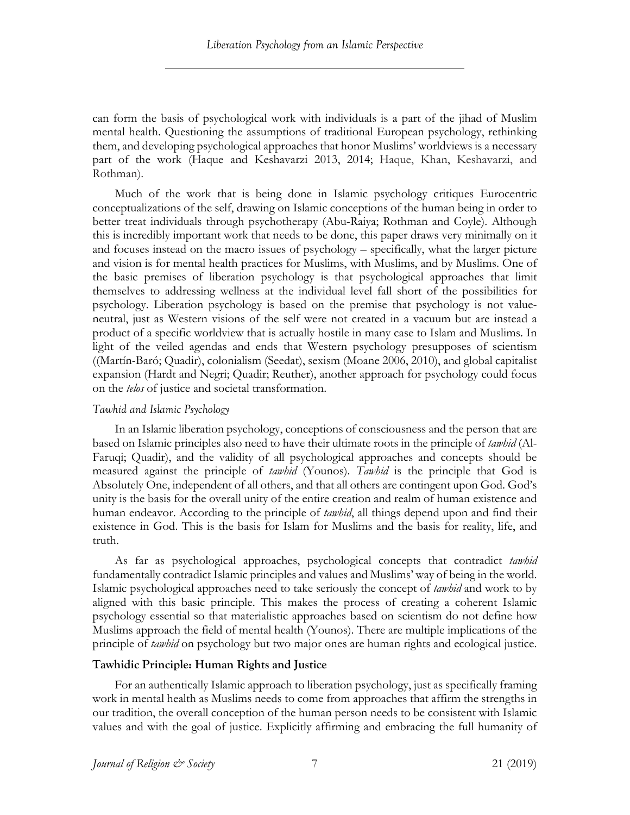can form the basis of psychological work with individuals is a part of the jihad of Muslim mental health. Questioning the assumptions of traditional European psychology, rethinking them, and developing psychological approaches that honor Muslims' worldviews is a necessary part of the work (Haque and Keshavarzi 2013, 2014; Haque, Khan, Keshavarzi, and Rothman).

Much of the work that is being done in Islamic psychology critiques Eurocentric conceptualizations of the self, drawing on Islamic conceptions of the human being in order to better treat individuals through psychotherapy (Abu-Raiya; Rothman and Coyle). Although this is incredibly important work that needs to be done, this paper draws very minimally on it and focuses instead on the macro issues of psychology – specifically, what the larger picture and vision is for mental health practices for Muslims, with Muslims, and by Muslims. One of the basic premises of liberation psychology is that psychological approaches that limit themselves to addressing wellness at the individual level fall short of the possibilities for psychology. Liberation psychology is based on the premise that psychology is not valueneutral, just as Western visions of the self were not created in a vacuum but are instead a product of a specific worldview that is actually hostile in many case to Islam and Muslims. In light of the veiled agendas and ends that Western psychology presupposes of scientism ((Martín-Baró; Quadir), colonialism (Seedat), sexism (Moane 2006, 2010), and global capitalist expansion (Hardt and Negri; Quadir; Reuther), another approach for psychology could focus on the *telos* of justice and societal transformation.

# *Tawhid and Islamic Psychology*

In an Islamic liberation psychology, conceptions of consciousness and the person that are based on Islamic principles also need to have their ultimate roots in the principle of *tawhid* (Al-Faruqi; Quadir), and the validity of all psychological approaches and concepts should be measured against the principle of *tawhid* (Younos). *Tawhid* is the principle that God is Absolutely One, independent of all others, and that all others are contingent upon God. God's unity is the basis for the overall unity of the entire creation and realm of human existence and human endeavor. According to the principle of *tawhid*, all things depend upon and find their existence in God. This is the basis for Islam for Muslims and the basis for reality, life, and truth.

As far as psychological approaches, psychological concepts that contradict *tawhid* fundamentally contradict Islamic principles and values and Muslims' way of being in the world. Islamic psychological approaches need to take seriously the concept of *tawhid* and work to by aligned with this basic principle. This makes the process of creating a coherent Islamic psychology essential so that materialistic approaches based on scientism do not define how Muslims approach the field of mental health (Younos). There are multiple implications of the principle of *tawhid* on psychology but two major ones are human rights and ecological justice.

# **Tawhidic Principle: Human Rights and Justice**

For an authentically Islamic approach to liberation psychology, just as specifically framing work in mental health as Muslims needs to come from approaches that affirm the strengths in our tradition, the overall conception of the human person needs to be consistent with Islamic values and with the goal of justice. Explicitly affirming and embracing the full humanity of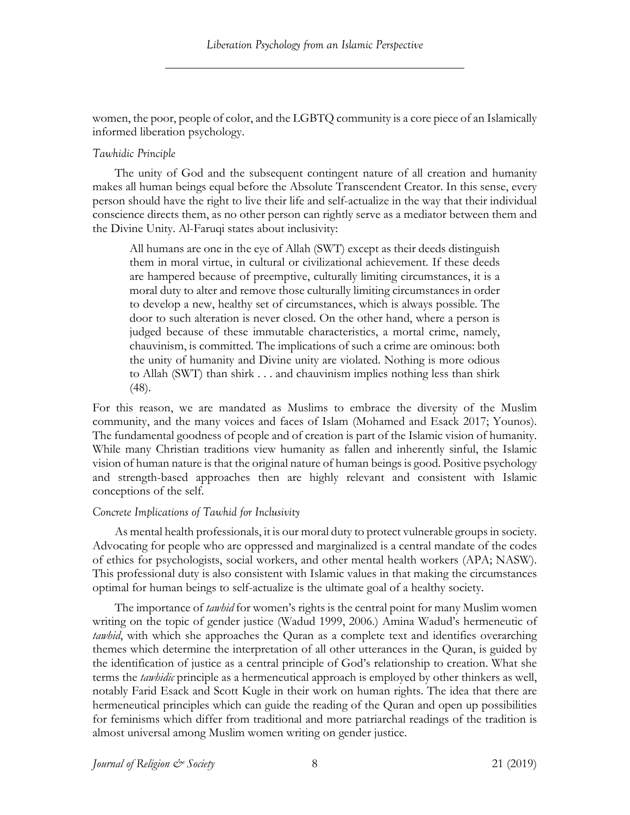women, the poor, people of color, and the LGBTQ community is a core piece of an Islamically informed liberation psychology.

## *Tawhidic Principle*

The unity of God and the subsequent contingent nature of all creation and humanity makes all human beings equal before the Absolute Transcendent Creator. In this sense, every person should have the right to live their life and self-actualize in the way that their individual conscience directs them, as no other person can rightly serve as a mediator between them and the Divine Unity. Al-Faruqi states about inclusivity:

All humans are one in the eye of Allah (SWT) except as their deeds distinguish them in moral virtue, in cultural or civilizational achievement. If these deeds are hampered because of preemptive, culturally limiting circumstances, it is a moral duty to alter and remove those culturally limiting circumstances in order to develop a new, healthy set of circumstances, which is always possible. The door to such alteration is never closed. On the other hand, where a person is judged because of these immutable characteristics, a mortal crime, namely, chauvinism, is committed. The implications of such a crime are ominous: both the unity of humanity and Divine unity are violated. Nothing is more odious to Allah (SWT) than shirk . . . and chauvinism implies nothing less than shirk (48).

For this reason, we are mandated as Muslims to embrace the diversity of the Muslim community, and the many voices and faces of Islam (Mohamed and Esack 2017; Younos). The fundamental goodness of people and of creation is part of the Islamic vision of humanity. While many Christian traditions view humanity as fallen and inherently sinful, the Islamic vision of human nature is that the original nature of human beings is good. Positive psychology and strength-based approaches then are highly relevant and consistent with Islamic conceptions of the self.

# *Concrete Implications of Tawhid for Inclusivity*

As mental health professionals, it is our moral duty to protect vulnerable groups in society. Advocating for people who are oppressed and marginalized is a central mandate of the codes of ethics for psychologists, social workers, and other mental health workers (APA; NASW). This professional duty is also consistent with Islamic values in that making the circumstances optimal for human beings to self-actualize is the ultimate goal of a healthy society.

The importance of *tawhid* for women's rights is the central point for many Muslim women writing on the topic of gender justice (Wadud 1999, 2006.) Amina Wadud's hermeneutic of *tawhid*, with which she approaches the Quran as a complete text and identifies overarching themes which determine the interpretation of all other utterances in the Quran, is guided by the identification of justice as a central principle of God's relationship to creation. What she terms the *tawhidic* principle as a hermeneutical approach is employed by other thinkers as well, notably Farid Esack and Scott Kugle in their work on human rights. The idea that there are hermeneutical principles which can guide the reading of the Quran and open up possibilities for feminisms which differ from traditional and more patriarchal readings of the tradition is almost universal among Muslim women writing on gender justice.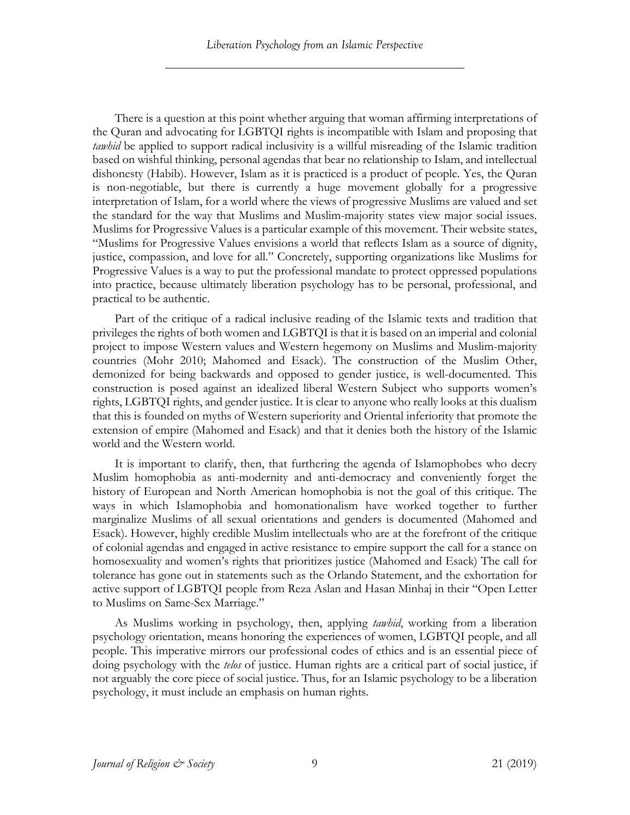There is a question at this point whether arguing that woman affirming interpretations of the Quran and advocating for LGBTQI rights is incompatible with Islam and proposing that *tawhid* be applied to support radical inclusivity is a willful misreading of the Islamic tradition based on wishful thinking, personal agendas that bear no relationship to Islam, and intellectual dishonesty (Habib). However, Islam as it is practiced is a product of people. Yes, the Quran is non-negotiable, but there is currently a huge movement globally for a progressive interpretation of Islam, for a world where the views of progressive Muslims are valued and set the standard for the way that Muslims and Muslim-majority states view major social issues. Muslims for Progressive Values is a particular example of this movement. Their website states, "Muslims for Progressive Values envisions a world that reflects Islam as a source of dignity, justice, compassion, and love for all." Concretely, supporting organizations like Muslims for Progressive Values is a way to put the professional mandate to protect oppressed populations into practice, because ultimately liberation psychology has to be personal, professional, and practical to be authentic.

Part of the critique of a radical inclusive reading of the Islamic texts and tradition that privileges the rights of both women and LGBTQI is that it is based on an imperial and colonial project to impose Western values and Western hegemony on Muslims and Muslim-majority countries (Mohr 2010; Mahomed and Esack). The construction of the Muslim Other, demonized for being backwards and opposed to gender justice, is well-documented. This construction is posed against an idealized liberal Western Subject who supports women's rights, LGBTQI rights, and gender justice. It is clear to anyone who really looks at this dualism that this is founded on myths of Western superiority and Oriental inferiority that promote the extension of empire (Mahomed and Esack) and that it denies both the history of the Islamic world and the Western world.

It is important to clarify, then, that furthering the agenda of Islamophobes who decry Muslim homophobia as anti-modernity and anti-democracy and conveniently forget the history of European and North American homophobia is not the goal of this critique. The ways in which Islamophobia and homonationalism have worked together to further marginalize Muslims of all sexual orientations and genders is documented (Mahomed and Esack). However, highly credible Muslim intellectuals who are at the forefront of the critique of colonial agendas and engaged in active resistance to empire support the call for a stance on homosexuality and women's rights that prioritizes justice (Mahomed and Esack) The call for tolerance has gone out in statements such as the Orlando Statement, and the exhortation for active support of LGBTQI people from Reza Aslan and Hasan Minhaj in their "Open Letter to Muslims on Same-Sex Marriage."

As Muslims working in psychology, then, applying *tawhid*, working from a liberation psychology orientation, means honoring the experiences of women, LGBTQI people, and all people. This imperative mirrors our professional codes of ethics and is an essential piece of doing psychology with the *telos* of justice. Human rights are a critical part of social justice, if not arguably the core piece of social justice. Thus, for an Islamic psychology to be a liberation psychology, it must include an emphasis on human rights.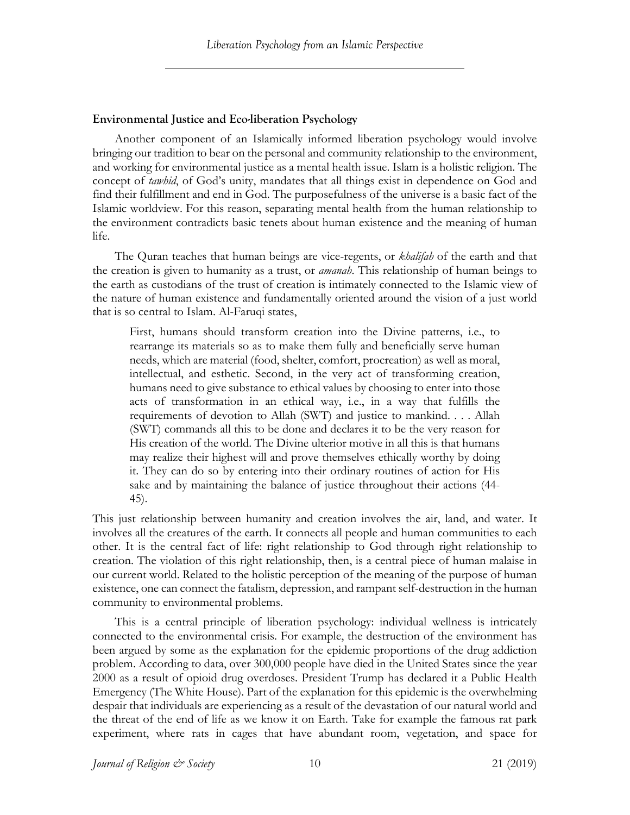# **Environmental Justice and Eco-liberation Psychology**

Another component of an Islamically informed liberation psychology would involve bringing our tradition to bear on the personal and community relationship to the environment, and working for environmental justice as a mental health issue. Islam is a holistic religion. The concept of *tawhid*, of God's unity, mandates that all things exist in dependence on God and find their fulfillment and end in God. The purposefulness of the universe is a basic fact of the Islamic worldview. For this reason, separating mental health from the human relationship to the environment contradicts basic tenets about human existence and the meaning of human life.

The Quran teaches that human beings are vice-regents, or *khalifah* of the earth and that the creation is given to humanity as a trust, or *amanah*. This relationship of human beings to the earth as custodians of the trust of creation is intimately connected to the Islamic view of the nature of human existence and fundamentally oriented around the vision of a just world that is so central to Islam. Al-Faruqi states,

First, humans should transform creation into the Divine patterns, i.e., to rearrange its materials so as to make them fully and beneficially serve human needs, which are material (food, shelter, comfort, procreation) as well as moral, intellectual, and esthetic. Second, in the very act of transforming creation, humans need to give substance to ethical values by choosing to enter into those acts of transformation in an ethical way, i.e., in a way that fulfills the requirements of devotion to Allah (SWT) and justice to mankind. . . . Allah (SWT) commands all this to be done and declares it to be the very reason for His creation of the world. The Divine ulterior motive in all this is that humans may realize their highest will and prove themselves ethically worthy by doing it. They can do so by entering into their ordinary routines of action for His sake and by maintaining the balance of justice throughout their actions (44- 45).

This just relationship between humanity and creation involves the air, land, and water. It involves all the creatures of the earth. It connects all people and human communities to each other. It is the central fact of life: right relationship to God through right relationship to creation. The violation of this right relationship, then, is a central piece of human malaise in our current world. Related to the holistic perception of the meaning of the purpose of human existence, one can connect the fatalism, depression, and rampant self-destruction in the human community to environmental problems.

This is a central principle of liberation psychology: individual wellness is intricately connected to the environmental crisis. For example, the destruction of the environment has been argued by some as the explanation for the epidemic proportions of the drug addiction problem. According to data, over 300,000 people have died in the United States since the year 2000 as a result of opioid drug overdoses. President Trump has declared it a Public Health Emergency (The White House). Part of the explanation for this epidemic is the overwhelming despair that individuals are experiencing as a result of the devastation of our natural world and the threat of the end of life as we know it on Earth. Take for example the famous rat park experiment, where rats in cages that have abundant room, vegetation, and space for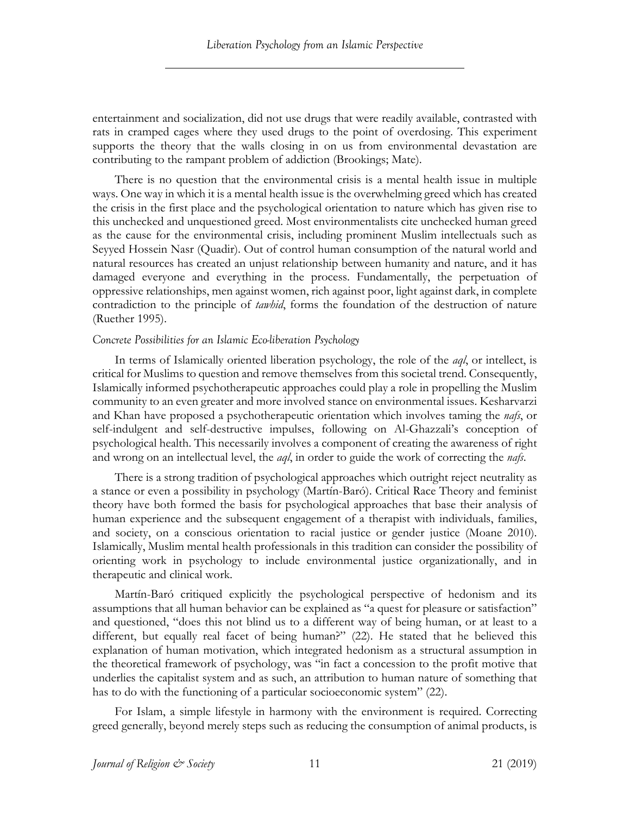entertainment and socialization, did not use drugs that were readily available, contrasted with rats in cramped cages where they used drugs to the point of overdosing. This experiment supports the theory that the walls closing in on us from environmental devastation are contributing to the rampant problem of addiction (Brookings; Mate).

There is no question that the environmental crisis is a mental health issue in multiple ways. One way in which it is a mental health issue is the overwhelming greed which has created the crisis in the first place and the psychological orientation to nature which has given rise to this unchecked and unquestioned greed. Most environmentalists cite unchecked human greed as the cause for the environmental crisis, including prominent Muslim intellectuals such as Seyyed Hossein Nasr (Quadir). Out of control human consumption of the natural world and natural resources has created an unjust relationship between humanity and nature, and it has damaged everyone and everything in the process. Fundamentally, the perpetuation of oppressive relationships, men against women, rich against poor, light against dark, in complete contradiction to the principle of *tawhid*, forms the foundation of the destruction of nature (Ruether 1995).

## *Concrete Possibilities for an Islamic Eco-liberation Psychology*

In terms of Islamically oriented liberation psychology, the role of the *aql*, or intellect, is critical for Muslims to question and remove themselves from this societal trend. Consequently, Islamically informed psychotherapeutic approaches could play a role in propelling the Muslim community to an even greater and more involved stance on environmental issues. Kesharvarzi and Khan have proposed a psychotherapeutic orientation which involves taming the *nafs*, or self-indulgent and self-destructive impulses, following on Al-Ghazzali's conception of psychological health. This necessarily involves a component of creating the awareness of right and wrong on an intellectual level, the *aql*, in order to guide the work of correcting the *nafs*.

There is a strong tradition of psychological approaches which outright reject neutrality as a stance or even a possibility in psychology (Martín-Baró). Critical Race Theory and feminist theory have both formed the basis for psychological approaches that base their analysis of human experience and the subsequent engagement of a therapist with individuals, families, and society, on a conscious orientation to racial justice or gender justice (Moane 2010). Islamically, Muslim mental health professionals in this tradition can consider the possibility of orienting work in psychology to include environmental justice organizationally, and in therapeutic and clinical work.

Martín-Baró critiqued explicitly the psychological perspective of hedonism and its assumptions that all human behavior can be explained as "a quest for pleasure or satisfaction" and questioned, "does this not blind us to a different way of being human, or at least to a different, but equally real facet of being human?" (22). He stated that he believed this explanation of human motivation, which integrated hedonism as a structural assumption in the theoretical framework of psychology, was "in fact a concession to the profit motive that underlies the capitalist system and as such, an attribution to human nature of something that has to do with the functioning of a particular socioeconomic system" (22).

For Islam, a simple lifestyle in harmony with the environment is required. Correcting greed generally, beyond merely steps such as reducing the consumption of animal products, is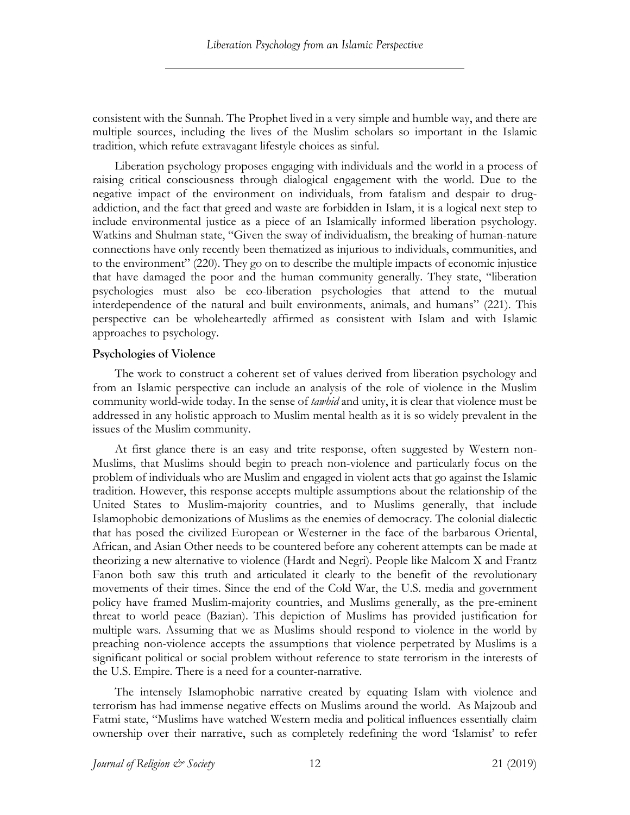consistent with the Sunnah. The Prophet lived in a very simple and humble way, and there are multiple sources, including the lives of the Muslim scholars so important in the Islamic tradition, which refute extravagant lifestyle choices as sinful.

Liberation psychology proposes engaging with individuals and the world in a process of raising critical consciousness through dialogical engagement with the world. Due to the negative impact of the environment on individuals, from fatalism and despair to drugaddiction, and the fact that greed and waste are forbidden in Islam, it is a logical next step to include environmental justice as a piece of an Islamically informed liberation psychology. Watkins and Shulman state, "Given the sway of individualism, the breaking of human-nature connections have only recently been thematized as injurious to individuals, communities, and to the environment" (220). They go on to describe the multiple impacts of economic injustice that have damaged the poor and the human community generally. They state, "liberation psychologies must also be eco-liberation psychologies that attend to the mutual interdependence of the natural and built environments, animals, and humans" (221). This perspective can be wholeheartedly affirmed as consistent with Islam and with Islamic approaches to psychology.

## **Psychologies of Violence**

The work to construct a coherent set of values derived from liberation psychology and from an Islamic perspective can include an analysis of the role of violence in the Muslim community world-wide today. In the sense of *tawhid* and unity, it is clear that violence must be addressed in any holistic approach to Muslim mental health as it is so widely prevalent in the issues of the Muslim community.

At first glance there is an easy and trite response, often suggested by Western non-Muslims, that Muslims should begin to preach non-violence and particularly focus on the problem of individuals who are Muslim and engaged in violent acts that go against the Islamic tradition. However, this response accepts multiple assumptions about the relationship of the United States to Muslim-majority countries, and to Muslims generally, that include Islamophobic demonizations of Muslims as the enemies of democracy. The colonial dialectic that has posed the civilized European or Westerner in the face of the barbarous Oriental, African, and Asian Other needs to be countered before any coherent attempts can be made at theorizing a new alternative to violence (Hardt and Negri). People like Malcom X and Frantz Fanon both saw this truth and articulated it clearly to the benefit of the revolutionary movements of their times. Since the end of the Cold War, the U.S. media and government policy have framed Muslim-majority countries, and Muslims generally, as the pre-eminent threat to world peace (Bazian). This depiction of Muslims has provided justification for multiple wars. Assuming that we as Muslims should respond to violence in the world by preaching non-violence accepts the assumptions that violence perpetrated by Muslims is a significant political or social problem without reference to state terrorism in the interests of the U.S. Empire. There is a need for a counter-narrative.

The intensely Islamophobic narrative created by equating Islam with violence and terrorism has had immense negative effects on Muslims around the world. As Majzoub and Fatmi state, "Muslims have watched Western media and political influences essentially claim ownership over their narrative, such as completely redefining the word 'Islamist' to refer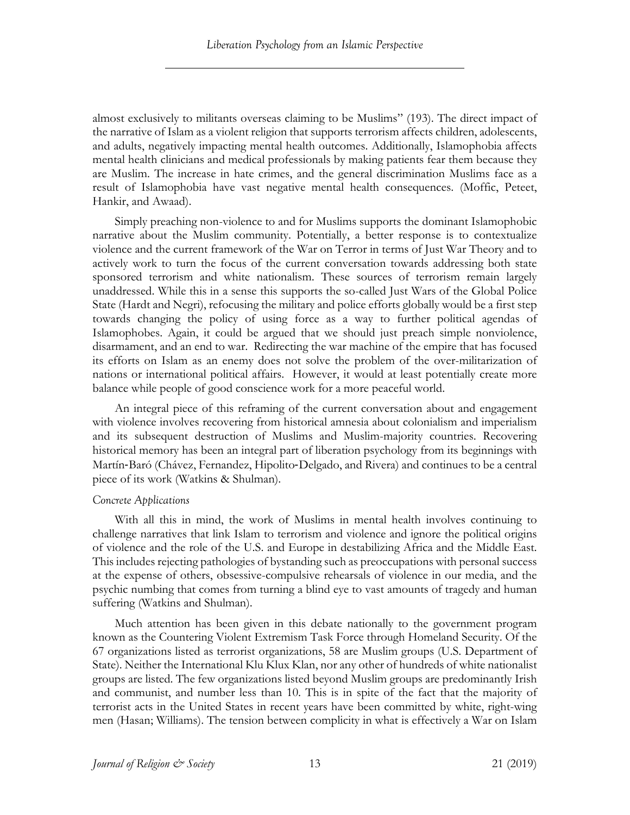almost exclusively to militants overseas claiming to be Muslims" (193). The direct impact of the narrative of Islam as a violent religion that supports terrorism affects children, adolescents, and adults, negatively impacting mental health outcomes. Additionally, Islamophobia affects mental health clinicians and medical professionals by making patients fear them because they are Muslim. The increase in hate crimes, and the general discrimination Muslims face as a result of Islamophobia have vast negative mental health consequences. (Moffic, Peteet, Hankir, and Awaad).

Simply preaching non-violence to and for Muslims supports the dominant Islamophobic narrative about the Muslim community. Potentially, a better response is to contextualize violence and the current framework of the War on Terror in terms of Just War Theory and to actively work to turn the focus of the current conversation towards addressing both state sponsored terrorism and white nationalism. These sources of terrorism remain largely unaddressed. While this in a sense this supports the so-called Just Wars of the Global Police State (Hardt and Negri), refocusing the military and police efforts globally would be a first step towards changing the policy of using force as a way to further political agendas of Islamophobes. Again, it could be argued that we should just preach simple nonviolence, disarmament, and an end to war. Redirecting the war machine of the empire that has focused its efforts on Islam as an enemy does not solve the problem of the over-militarization of nations or international political affairs. However, it would at least potentially create more balance while people of good conscience work for a more peaceful world.

An integral piece of this reframing of the current conversation about and engagement with violence involves recovering from historical amnesia about colonialism and imperialism and its subsequent destruction of Muslims and Muslim-majority countries. Recovering historical memory has been an integral part of liberation psychology from its beginnings with Martín-Baró (Chávez, Fernandez, Hipolito-Delgado, and Rivera) and continues to be a central piece of its work (Watkins & Shulman).

#### *Concrete Applications*

With all this in mind, the work of Muslims in mental health involves continuing to challenge narratives that link Islam to terrorism and violence and ignore the political origins of violence and the role of the U.S. and Europe in destabilizing Africa and the Middle East. This includes rejecting pathologies of bystanding such as preoccupations with personal success at the expense of others, obsessive-compulsive rehearsals of violence in our media, and the psychic numbing that comes from turning a blind eye to vast amounts of tragedy and human suffering (Watkins and Shulman).

Much attention has been given in this debate nationally to the government program known as the Countering Violent Extremism Task Force through Homeland Security. Of the 67 organizations listed as terrorist organizations, 58 are Muslim groups (U.S. Department of State). Neither the International Klu Klux Klan, nor any other of hundreds of white nationalist groups are listed. The few organizations listed beyond Muslim groups are predominantly Irish and communist, and number less than 10. This is in spite of the fact that the majority of terrorist acts in the United States in recent years have been committed by white, right-wing men (Hasan; Williams). The tension between complicity in what is effectively a War on Islam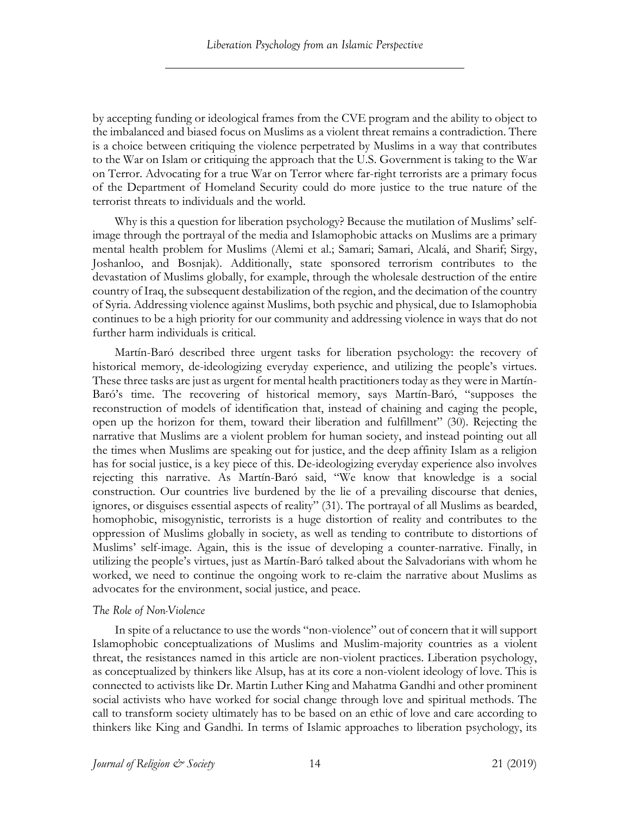by accepting funding or ideological frames from the CVE program and the ability to object to the imbalanced and biased focus on Muslims as a violent threat remains a contradiction. There is a choice between critiquing the violence perpetrated by Muslims in a way that contributes to the War on Islam or critiquing the approach that the U.S. Government is taking to the War on Terror. Advocating for a true War on Terror where far-right terrorists are a primary focus of the Department of Homeland Security could do more justice to the true nature of the terrorist threats to individuals and the world.

Why is this a question for liberation psychology? Because the mutilation of Muslims' selfimage through the portrayal of the media and Islamophobic attacks on Muslims are a primary mental health problem for Muslims (Alemi et al.; Samari; Samari, Alcalá, and Sharif; Sirgy, Joshanloo, and Bosnjak). Additionally, state sponsored terrorism contributes to the devastation of Muslims globally, for example, through the wholesale destruction of the entire country of Iraq, the subsequent destabilization of the region, and the decimation of the country of Syria. Addressing violence against Muslims, both psychic and physical, due to Islamophobia continues to be a high priority for our community and addressing violence in ways that do not further harm individuals is critical.

Martín-Baró described three urgent tasks for liberation psychology: the recovery of historical memory, de-ideologizing everyday experience, and utilizing the people's virtues. These three tasks are just as urgent for mental health practitioners today as they were in Martín-Baró's time. The recovering of historical memory, says Martín-Baró, "supposes the reconstruction of models of identification that, instead of chaining and caging the people, open up the horizon for them, toward their liberation and fulfillment" (30). Rejecting the narrative that Muslims are a violent problem for human society, and instead pointing out all the times when Muslims are speaking out for justice, and the deep affinity Islam as a religion has for social justice, is a key piece of this. De-ideologizing everyday experience also involves rejecting this narrative. As Martín-Baró said, "We know that knowledge is a social construction. Our countries live burdened by the lie of a prevailing discourse that denies, ignores, or disguises essential aspects of reality" (31). The portrayal of all Muslims as bearded, homophobic, misogynistic, terrorists is a huge distortion of reality and contributes to the oppression of Muslims globally in society, as well as tending to contribute to distortions of Muslims' self-image. Again, this is the issue of developing a counter-narrative. Finally, in utilizing the people's virtues, just as Martín-Baró talked about the Salvadorians with whom he worked, we need to continue the ongoing work to re-claim the narrative about Muslims as advocates for the environment, social justice, and peace.

# *The Role of Non-Violence*

In spite of a reluctance to use the words "non-violence" out of concern that it will support Islamophobic conceptualizations of Muslims and Muslim-majority countries as a violent threat, the resistances named in this article are non-violent practices. Liberation psychology, as conceptualized by thinkers like Alsup, has at its core a non-violent ideology of love. This is connected to activists like Dr. Martin Luther King and Mahatma Gandhi and other prominent social activists who have worked for social change through love and spiritual methods. The call to transform society ultimately has to be based on an ethic of love and care according to thinkers like King and Gandhi. In terms of Islamic approaches to liberation psychology, its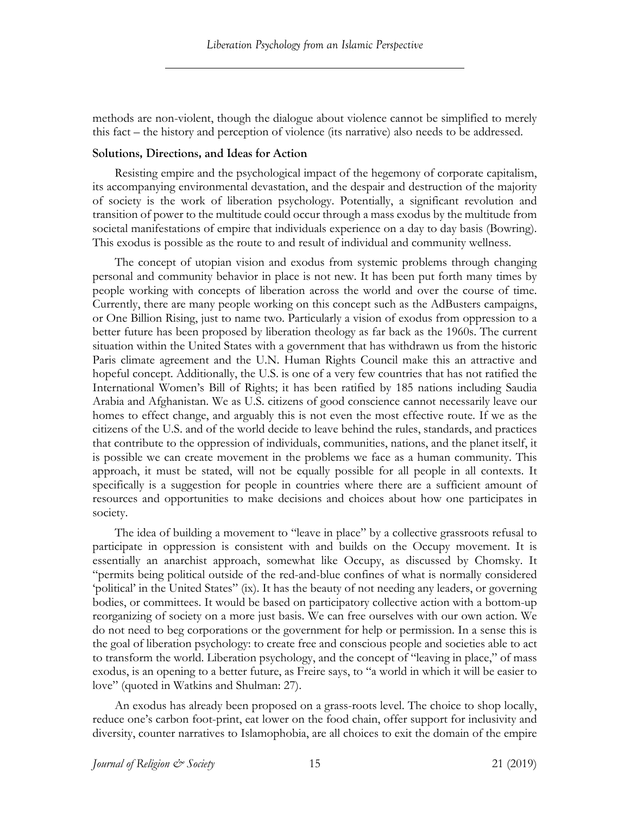methods are non-violent, though the dialogue about violence cannot be simplified to merely this fact – the history and perception of violence (its narrative) also needs to be addressed.

## **Solutions, Directions, and Ideas for Action**

Resisting empire and the psychological impact of the hegemony of corporate capitalism, its accompanying environmental devastation, and the despair and destruction of the majority of society is the work of liberation psychology. Potentially, a significant revolution and transition of power to the multitude could occur through a mass exodus by the multitude from societal manifestations of empire that individuals experience on a day to day basis (Bowring). This exodus is possible as the route to and result of individual and community wellness.

The concept of utopian vision and exodus from systemic problems through changing personal and community behavior in place is not new. It has been put forth many times by people working with concepts of liberation across the world and over the course of time. Currently, there are many people working on this concept such as the AdBusters campaigns, or One Billion Rising, just to name two. Particularly a vision of exodus from oppression to a better future has been proposed by liberation theology as far back as the 1960s. The current situation within the United States with a government that has withdrawn us from the historic Paris climate agreement and the U.N. Human Rights Council make this an attractive and hopeful concept. Additionally, the U.S. is one of a very few countries that has not ratified the International Women's Bill of Rights; it has been ratified by 185 nations including Saudia Arabia and Afghanistan. We as U.S. citizens of good conscience cannot necessarily leave our homes to effect change, and arguably this is not even the most effective route. If we as the citizens of the U.S. and of the world decide to leave behind the rules, standards, and practices that contribute to the oppression of individuals, communities, nations, and the planet itself, it is possible we can create movement in the problems we face as a human community. This approach, it must be stated, will not be equally possible for all people in all contexts. It specifically is a suggestion for people in countries where there are a sufficient amount of resources and opportunities to make decisions and choices about how one participates in society.

The idea of building a movement to "leave in place" by a collective grassroots refusal to participate in oppression is consistent with and builds on the Occupy movement. It is essentially an anarchist approach, somewhat like Occupy, as discussed by Chomsky. It "permits being political outside of the red-and-blue confines of what is normally considered 'political' in the United States" (ix). It has the beauty of not needing any leaders, or governing bodies, or committees. It would be based on participatory collective action with a bottom-up reorganizing of society on a more just basis. We can free ourselves with our own action. We do not need to beg corporations or the government for help or permission. In a sense this is the goal of liberation psychology: to create free and conscious people and societies able to act to transform the world. Liberation psychology, and the concept of "leaving in place," of mass exodus, is an opening to a better future, as Freire says, to "a world in which it will be easier to love" (quoted in Watkins and Shulman: 27).

An exodus has already been proposed on a grass-roots level. The choice to shop locally, reduce one's carbon foot-print, eat lower on the food chain, offer support for inclusivity and diversity, counter narratives to Islamophobia, are all choices to exit the domain of the empire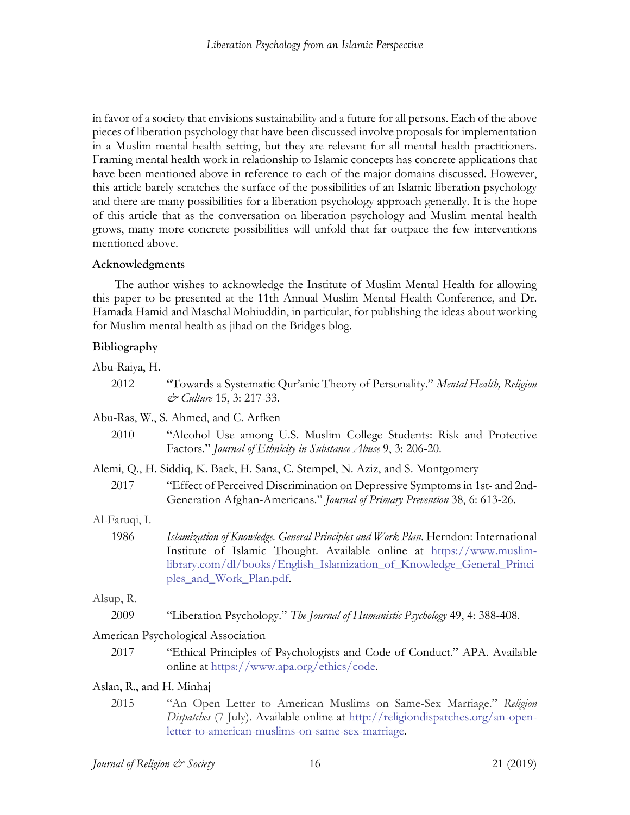in favor of a society that envisions sustainability and a future for all persons. Each of the above pieces of liberation psychology that have been discussed involve proposals for implementation in a Muslim mental health setting, but they are relevant for all mental health practitioners. Framing mental health work in relationship to Islamic concepts has concrete applications that have been mentioned above in reference to each of the major domains discussed. However, this article barely scratches the surface of the possibilities of an Islamic liberation psychology and there are many possibilities for a liberation psychology approach generally. It is the hope of this article that as the conversation on liberation psychology and Muslim mental health grows, many more concrete possibilities will unfold that far outpace the few interventions mentioned above.

## **Acknowledgments**

The author wishes to acknowledge the Institute of Muslim Mental Health for allowing this paper to be presented at the 11th Annual Muslim Mental Health Conference, and Dr. Hamada Hamid and Maschal Mohiuddin, in particular, for publishing the ideas about working for Muslim mental health as jihad on the Bridges blog.

# **Bibliography**

Abu-Raiya, H.

- 2012 "Towards a Systematic Qur'anic Theory of Personality." *Mental Health, Religion & Culture* 15, 3: 217-33.
- Abu-Ras, W., S. Ahmed, and C. Arfken
	- 2010 "Alcohol Use among U.S. Muslim College Students: Risk and Protective Factors." *Journal of Ethnicity in Substance Abuse* 9, 3: 206-20.

Alemi, Q., H. Siddiq, K. Baek, H. Sana, C. Stempel, N. Aziz, and S. Montgomery

2017 "Effect of Perceived Discrimination on Depressive Symptoms in 1st- and 2nd-Generation Afghan-Americans." *Journal of Primary Prevention* 38, 6: 613-26.

# Al-Faruqi, I.

1986 *Islamization of Knowledge. General Principles and Work Plan*. Herndon: International Institute of Islamic Thought. Available online at https://www.muslimlibrary.com/dl/books/English\_Islamization\_of\_Knowledge\_General\_Princi ples\_and\_Work\_Plan.pdf.

## Alsup, R.

2009 "Liberation Psychology." *The Journal of Humanistic Psychology* 49, 4: 388-408.

# American Psychological Association

- 2017 "Ethical Principles of Psychologists and Code of Conduct." APA. Available online at https://www.apa.org/ethics/code.
- Aslan, R., and H. Minhaj
	- 2015 "An Open Letter to American Muslims on Same-Sex Marriage." *Religion Dispatches* (7 July). Available online at http://religiondispatches.org/an-openletter-to-american-muslims-on-same-sex-marriage.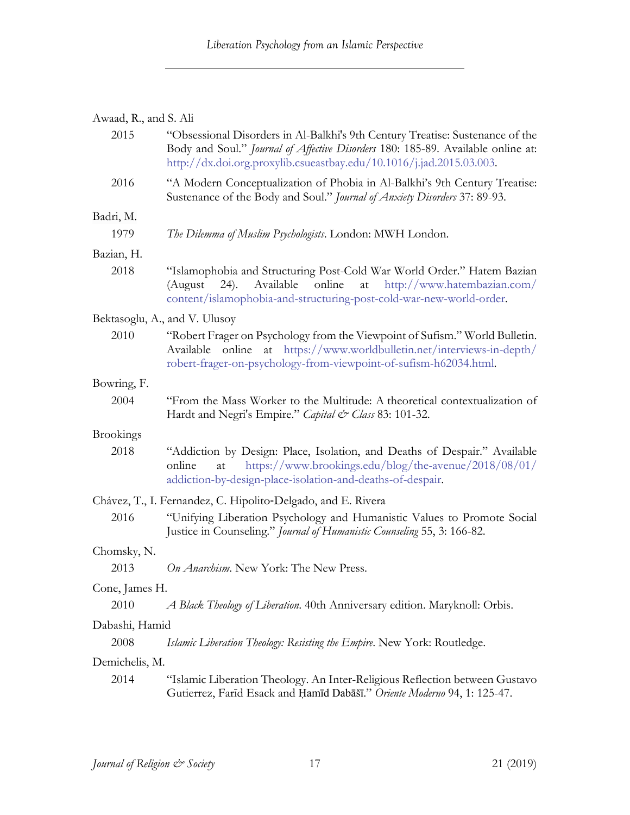# Awaad, R., and S. Ali

| 2015             | "Obsessional Disorders in Al-Balkhi's 9th Century Treatise: Sustenance of the<br>Body and Soul." Journal of Affective Disorders 180: 185-89. Available online at:<br>http://dx.doi.org.proxylib.csueastbay.edu/10.1016/j.jad.2015.03.003. |  |  |  |  |  |
|------------------|-------------------------------------------------------------------------------------------------------------------------------------------------------------------------------------------------------------------------------------------|--|--|--|--|--|
| 2016             | "A Modern Conceptualization of Phobia in Al-Balkhi's 9th Century Treatise:<br>Sustenance of the Body and Soul." Journal of Anxiety Disorders 37: 89-93.                                                                                   |  |  |  |  |  |
| Badri, M.        |                                                                                                                                                                                                                                           |  |  |  |  |  |
| 1979             | The Dilemma of Muslim Psychologists. London: MWH London.                                                                                                                                                                                  |  |  |  |  |  |
| Bazian, H.       |                                                                                                                                                                                                                                           |  |  |  |  |  |
| 2018             | "Islamophobia and Structuring Post-Cold War World Order." Hatem Bazian<br>Available<br>online<br>at<br>http://www.hatembazian.com/<br>(August<br>$(24)$ .<br>content/islamophobia-and-structuring-post-cold-war-new-world-order.          |  |  |  |  |  |
|                  | Bektasoglu, A., and V. Ulusoy                                                                                                                                                                                                             |  |  |  |  |  |
| 2010             | "Robert Frager on Psychology from the Viewpoint of Sufism." World Bulletin.<br>Available online at https://www.worldbulletin.net/interviews-in-depth/<br>robert-frager-on-psychology-from-viewpoint-of-sufism-h62034.html.                |  |  |  |  |  |
| Bowring, F.      |                                                                                                                                                                                                                                           |  |  |  |  |  |
| 2004             | "From the Mass Worker to the Multitude: A theoretical contextualization of<br>Hardt and Negri's Empire." Capital & Class 83: 101-32.                                                                                                      |  |  |  |  |  |
| <b>Brookings</b> |                                                                                                                                                                                                                                           |  |  |  |  |  |
| 2018             | "Addiction by Design: Place, Isolation, and Deaths of Despair." Available<br>https://www.brookings.edu/blog/the-avenue/2018/08/01/<br>online<br>at<br>addiction-by-design-place-isolation-and-deaths-of-despair.                          |  |  |  |  |  |
|                  | Chávez, T., I. Fernandez, C. Hipolito-Delgado, and E. Rivera                                                                                                                                                                              |  |  |  |  |  |
| 2016             | "Unifying Liberation Psychology and Humanistic Values to Promote Social<br>Justice in Counseling." Journal of Humanistic Counseling 55, 3: 166-82.                                                                                        |  |  |  |  |  |
| Chomsky, N.      |                                                                                                                                                                                                                                           |  |  |  |  |  |
| 2013             | On Anarchism. New York: The New Press.                                                                                                                                                                                                    |  |  |  |  |  |
| Cone, James H.   |                                                                                                                                                                                                                                           |  |  |  |  |  |
| 2010             | A Black Theology of Liberation. 40th Anniversary edition. Maryknoll: Orbis.                                                                                                                                                               |  |  |  |  |  |
| Dabashi, Hamid   |                                                                                                                                                                                                                                           |  |  |  |  |  |
| 2008             | Islamic Liberation Theology: Resisting the Empire. New York: Routledge.                                                                                                                                                                   |  |  |  |  |  |
| Demichelis, M.   |                                                                                                                                                                                                                                           |  |  |  |  |  |
| 2014             | "Islamic Liberation Theology. An Inter-Religious Reflection between Gustavo<br>Gutierrez, Farīd Esack and Hamīd Dabāšī." Oriente Moderno 94, 1: 125-47.                                                                                   |  |  |  |  |  |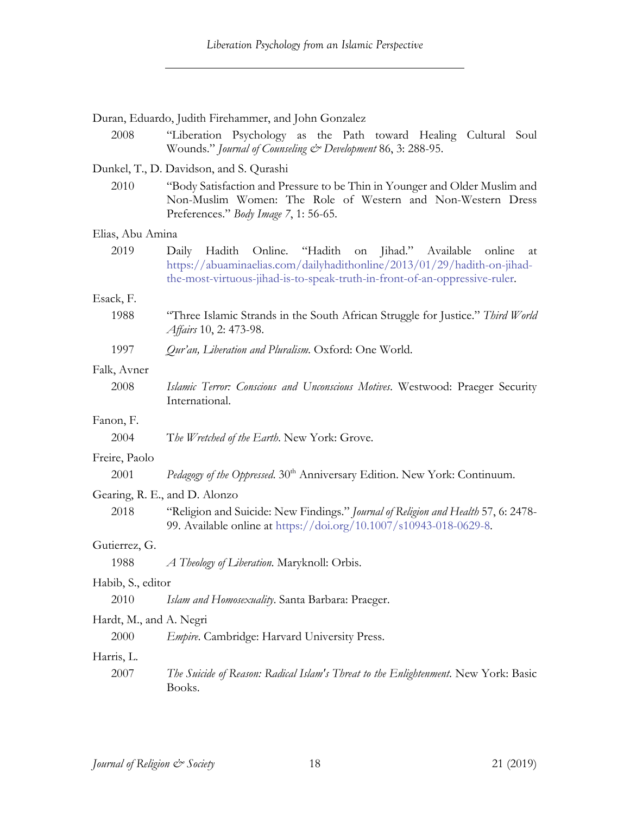|                               | Duran, Eduardo, Judith Firehammer, and John Gonzalez                                                                                                                                                                          |  |  |  |
|-------------------------------|-------------------------------------------------------------------------------------------------------------------------------------------------------------------------------------------------------------------------------|--|--|--|
| 2008                          | "Liberation Psychology as the Path toward Healing Cultural Soul<br>Wounds." Journal of Counseling & Development 86, 3: 288-95.                                                                                                |  |  |  |
|                               | Dunkel, T., D. Davidson, and S. Qurashi                                                                                                                                                                                       |  |  |  |
| 2010                          | "Body Satisfaction and Pressure to be Thin in Younger and Older Muslim and<br>Non-Muslim Women: The Role of Western and Non-Western Dress<br>Preferences." Body Image 7, 1: 56-65.                                            |  |  |  |
| Elias, Abu Amina              |                                                                                                                                                                                                                               |  |  |  |
| 2019                          | Online. "Hadith on Jihad." Available online<br>Daily<br>Hadith<br>at<br>https://abuaminaelias.com/dailyhadithonline/2013/01/29/hadith-on-jihad-<br>the-most-virtuous-jihad-is-to-speak-truth-in-front-of-an-oppressive-ruler. |  |  |  |
| Esack, F.                     |                                                                                                                                                                                                                               |  |  |  |
| 1988                          | "Three Islamic Strands in the South African Struggle for Justice." Third World<br><i>Affairs</i> 10, 2: 473-98.                                                                                                               |  |  |  |
| 1997                          | Qur'an, Liberation and Pluralism. Oxford: One World.                                                                                                                                                                          |  |  |  |
| Falk, Avner                   |                                                                                                                                                                                                                               |  |  |  |
| 2008                          | Islamic Terror: Conscious and Unconscious Motives. Westwood: Praeger Security<br>International.                                                                                                                               |  |  |  |
| Fanon, F.                     |                                                                                                                                                                                                                               |  |  |  |
| 2004                          | The Wretched of the Earth. New York: Grove.                                                                                                                                                                                   |  |  |  |
| Freire, Paolo                 |                                                                                                                                                                                                                               |  |  |  |
| 2001                          | Pedagogy of the Oppressed. 30 <sup>th</sup> Anniversary Edition. New York: Continuum.                                                                                                                                         |  |  |  |
| Gearing, R. E., and D. Alonzo |                                                                                                                                                                                                                               |  |  |  |
| 2018                          | "Religion and Suicide: New Findings." Journal of Religion and Health 57, 6: 2478-<br>99. Available online at https://doi.org/10.1007/s10943-018-0629-8.                                                                       |  |  |  |
| Gutierrez, G.                 |                                                                                                                                                                                                                               |  |  |  |
| 1988                          | A Theology of Liberation. Maryknoll: Orbis.                                                                                                                                                                                   |  |  |  |
| Habib, S., editor             |                                                                                                                                                                                                                               |  |  |  |
| 2010                          | Islam and Homosexuality. Santa Barbara: Praeger.                                                                                                                                                                              |  |  |  |
| Hardt, M., and A. Negri       |                                                                                                                                                                                                                               |  |  |  |
| 2000                          | <i>Empire.</i> Cambridge: Harvard University Press.                                                                                                                                                                           |  |  |  |
| Harris, L.                    |                                                                                                                                                                                                                               |  |  |  |
| 2007                          | The Suicide of Reason: Radical Islam's Threat to the Enlightenment. New York: Basic<br>Books.                                                                                                                                 |  |  |  |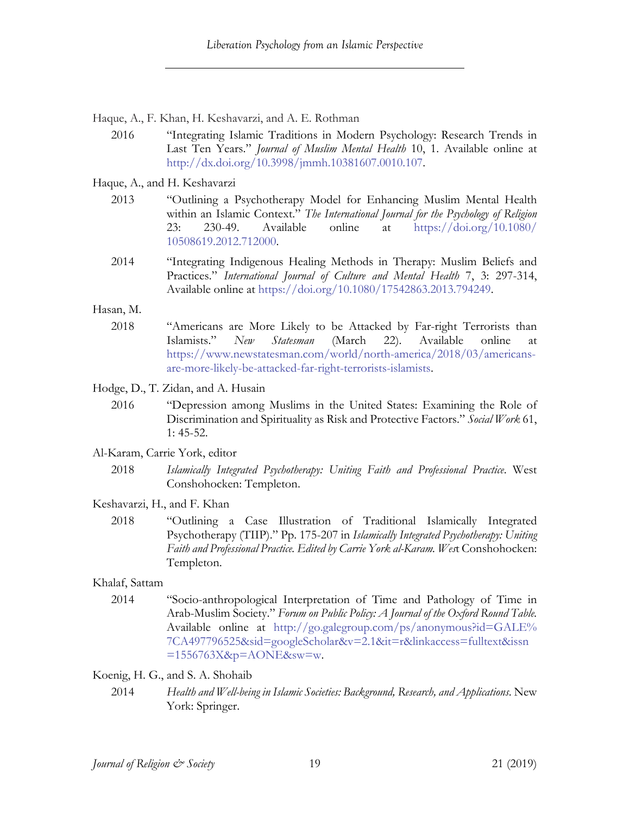Haque, A., F. Khan, H. Keshavarzi, and A. E. Rothman

2016 "Integrating Islamic Traditions in Modern Psychology: Research Trends in Last Ten Years." *Journal of Muslim Mental Health* 10, 1. Available online at http://dx.doi.org/10.3998/jmmh.10381607.0010.107.

Haque, A., and H. Keshavarzi

- 2013 "Outlining a Psychotherapy Model for Enhancing Muslim Mental Health within an Islamic Context." *The International Journal for the Psychology of Religion*  23: 230-49. Available online at https://doi.org/10.1080/ 10508619.2012.712000.
- 2014 "Integrating Indigenous Healing Methods in Therapy: Muslim Beliefs and Practices." *International Journal of Culture and Mental Health* 7, 3: 297-314, Available online at https://doi.org/10.1080/17542863.2013.794249.

Hasan, M.

2018 "Americans are More Likely to be Attacked by Far-right Terrorists than Islamists." *New Statesman* (March 22). Available online at https://www.newstatesman.com/world/north-america/2018/03/americansare-more-likely-be-attacked-far-right-terrorists-islamists.

Hodge, D., T. Zidan, and A. Husain

- 2016 "Depression among Muslims in the United States: Examining the Role of Discrimination and Spirituality as Risk and Protective Factors." *Social Work* 61, 1: 45-52.
- Al-Karam, Carrie York, editor
	- 2018 *Islamically Integrated Psychotherapy: Uniting Faith and Professional Practice*. West Conshohocken: Templeton.
- Keshavarzi, H., and F. Khan
	- 2018 "Outlining a Case Illustration of Traditional Islamically Integrated Psychotherapy (TIIP)." Pp. 175-207 in *Islamically Integrated Psychotherapy: Uniting Faith and Professional Practice. Edited by Carrie York al-Karam. Wes*t Conshohocken: Templeton.

## Khalaf, Sattam

2014 "Socio-anthropological Interpretation of Time and Pathology of Time in Arab-Muslim Society." *Forum on Public Policy: A Journal of the Oxford Round Table.* Available online at http://go.galegroup.com/ps/anonymous?id=GALE% 7CA497796525&sid=googleScholar&v=2.1&it=r&linkaccess=fulltext&issn  $=1556763X$ &p=AONE&sw=w.

Koenig, H. G., and S. A. Shohaib

2014 *Health and Well-being in Islamic Societies: Background, Research, and Applications*. New York: Springer.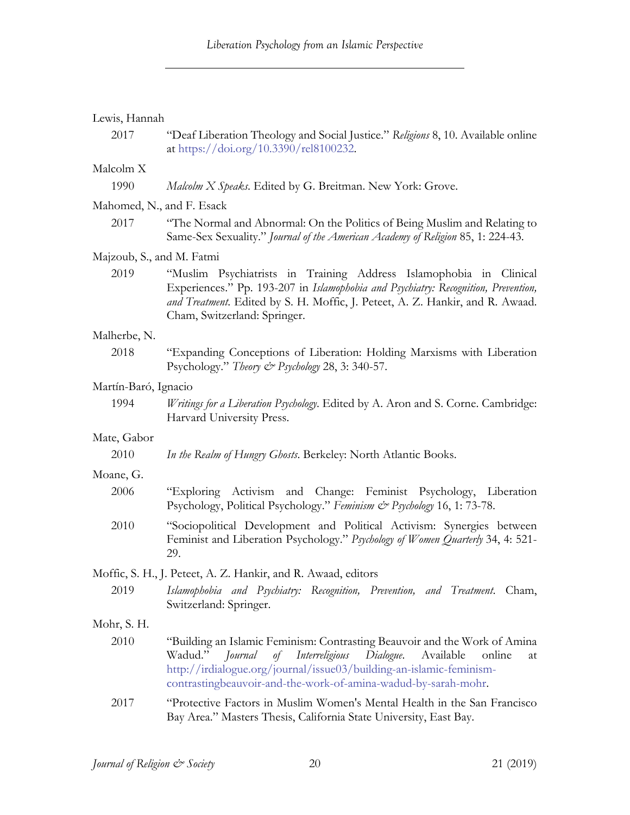|  | Lewis, Hannah |
|--|---------------|
|--|---------------|

2017 "Deaf Liberation Theology and Social Justice." *Religions* 8, 10. Available online at https://doi.org/10.3390/rel8100232.

## Malcolm X

| 1990 | Malcolm X Speaks. Edited by G. Breitman. New York: Grove. |  |  |  |  |  |  |  |  |
|------|-----------------------------------------------------------|--|--|--|--|--|--|--|--|
|------|-----------------------------------------------------------|--|--|--|--|--|--|--|--|

## Mahomed, N., and F. Esack

2017 "The Normal and Abnormal: On the Politics of Being Muslim and Relating to Same-Sex Sexuality." *Journal of the American Academy of Religion* 85, 1: 224-43.

#### Majzoub, S., and M. Fatmi

2019 "Muslim Psychiatrists in Training Address Islamophobia in Clinical Experiences." Pp. 193-207 in *Islamophobia and Psychiatry: Recognition, Prevention, and Treatment*. Edited by S. H. Moffic, J. Peteet, A. Z. Hankir, and R. Awaad. Cham, Switzerland: Springer.

#### Malherbe, N.

2018 "Expanding Conceptions of Liberation: Holding Marxisms with Liberation Psychology." *Theory & Psychology* 28, 3: 340-57.

#### Martín-Baró, Ignacio

1994 *Writings for a Liberation Psychology*. Edited by A. Aron and S. Corne. Cambridge: Harvard University Press.

## Mate, Gabor

2010 *In the Realm of Hungry Ghosts*. Berkeley: North Atlantic Books.

## Moane, G.

- 2006 "Exploring Activism and Change: Feminist Psychology, Liberation Psychology, Political Psychology." *Feminism & Psychology* 16, 1: 73-78.
- 2010 "Sociopolitical Development and Political Activism: Synergies between Feminist and Liberation Psychology." *Psychology of Women Quarterly* 34, 4: 521- 29.

#### Moffic, S. H., J. Peteet, A. Z. Hankir, and R. Awaad, editors

2019 *Islamophobia and Psychiatry: Recognition, Prevention, and Treatment*. Cham, Switzerland: Springer.

#### Mohr, S. H.

- 2010 "Building an Islamic Feminism: Contrasting Beauvoir and the Work of Amina Wadud." *Journal of Interreligious Dialogue*. Available online at http://irdialogue.org/journal/issue03/building-an-islamic-feminismcontrastingbeauvoir-and-the-work-of-amina-wadud-by-sarah-mohr.
- 2017 "Protective Factors in Muslim Women's Mental Health in the San Francisco Bay Area." Masters Thesis, California State University, East Bay.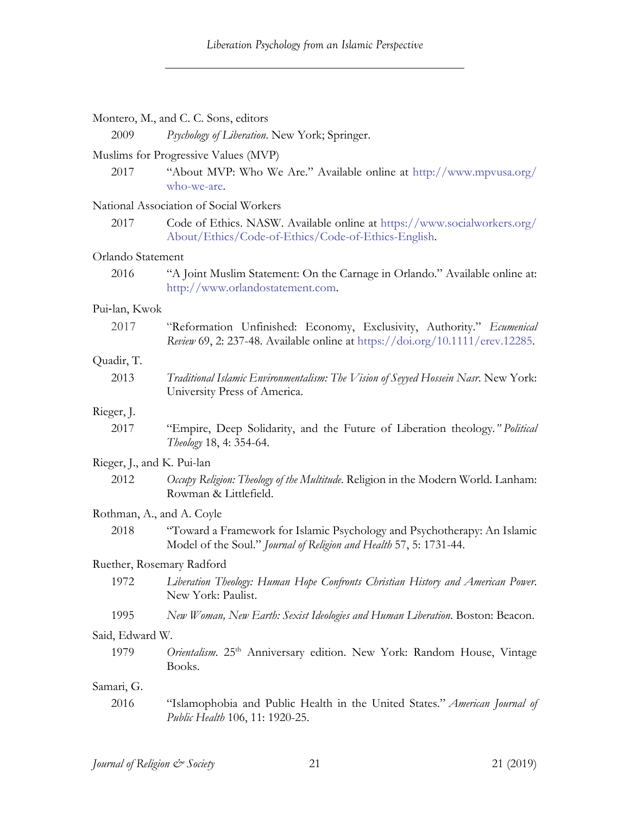|                            | Montero, M., and C. C. Sons, editors                                                                                                                   |
|----------------------------|--------------------------------------------------------------------------------------------------------------------------------------------------------|
| 2009                       | Psychology of Liberation. New York; Springer.                                                                                                          |
|                            | Muslims for Progressive Values (MVP)                                                                                                                   |
| 2017                       | "About MVP: Who We Are." Available online at http://www.mpvusa.org/<br>who-we-are.                                                                     |
|                            | National Association of Social Workers                                                                                                                 |
| 2017                       | Code of Ethics. NASW. Available online at https://www.socialworkers.org/<br>About/Ethics/Code-of-Ethics/Code-of-Ethics-English.                        |
| Orlando Statement          |                                                                                                                                                        |
| 2016                       | "A Joint Muslim Statement: On the Carnage in Orlando." Available online at:<br>http://www.orlandostatement.com.                                        |
| Pui-lan, Kwok              |                                                                                                                                                        |
| 2017                       | "Reformation Unfinished: Economy, Exclusivity, Authority." Ecumenical<br>Review 69, 2: 237-48. Available online at https://doi.org/10.1111/erev.12285. |
| Quadir, T.                 |                                                                                                                                                        |
| 2013                       | Traditional Islamic Environmentalism: The Vision of Seyyed Hossein Nasr. New York:<br>University Press of America.                                     |
| Rieger, J.                 |                                                                                                                                                        |
| 2017                       | "Empire, Deep Solidarity, and the Future of Liberation theology." Political<br>Theology 18, 4: 354-64.                                                 |
| Rieger, J., and K. Pui-lan |                                                                                                                                                        |
| 2012                       | Occupy Religion: Theology of the Multitude. Religion in the Modern World. Lanham:<br>Rowman & Littlefield.                                             |
| Rothman, A., and A. Coyle  |                                                                                                                                                        |
| 2018                       | "Toward a Framework for Islamic Psychology and Psychotherapy: An Islamic<br>Model of the Soul." Journal of Religion and Health 57, 5: 1731-44.         |
| Ruether, Rosemary Radford  |                                                                                                                                                        |
| 1972                       | Liberation Theology: Human Hope Confronts Christian History and American Power.<br>New York: Paulist.                                                  |
| 1995                       | New Woman, New Earth: Sexist Ideologies and Human Liberation. Boston: Beacon.                                                                          |
| Said, Edward W.            |                                                                                                                                                        |
| 1979                       | Orientalism. 25 <sup>th</sup> Anniversary edition. New York: Random House, Vintage<br>Books.                                                           |
| Samari, G.                 |                                                                                                                                                        |
| 2016                       | "Islamophobia and Public Health in the United States." American Journal of<br>Public Health 106, 11: 1920-25.                                          |